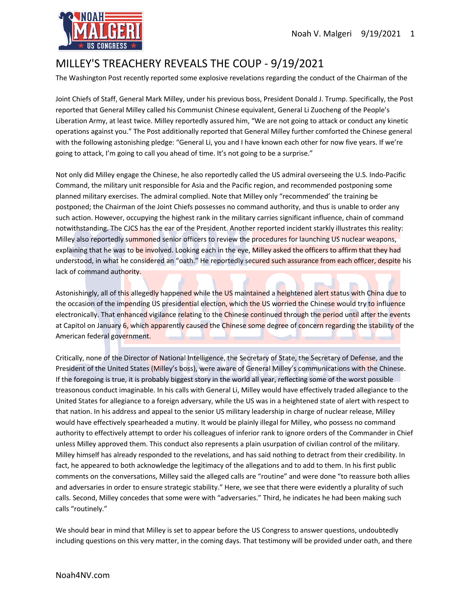

## MILLEY'S TREACHERY REVEALS THE COUP - 9/19/2021

The Washington Post recently reported some explosive revelations regarding the conduct of the Chairman of the

Joint Chiefs of Staff, General Mark Milley, under his previous boss, President Donald J. Trump. Specifically, the Post reported that General Milley called his Communist Chinese equivalent, General Li Zuocheng of the People's Liberation Army, at least twice. Milley reportedly assured him, "We are not going to attack or conduct any kinetic operations against you." The Post additionally reported that General Milley further comforted the Chinese general with the following astonishing pledge: "General Li, you and I have known each other for now five years. If we're going to attack, I'm going to call you ahead of time. It's not going to be a surprise."

Not only did Milley engage the Chinese, he also reportedly called the US admiral overseeing the U.S. Indo-Pacific Command, the military unit responsible for Asia and the Pacific region, and recommended postponing some planned military exercises. The admiral complied. Note that Milley only "recommended' the training be postponed; the Chairman of the Joint Chiefs possesses no command authority, and thus is unable to order any such action. However, occupying the highest rank in the military carries significant influence, chain of command notwithstanding. The CJCS has the ear of the President. Another reported incident starkly illustrates this reality: Milley also reportedly summoned senior officers to review the procedures for launching US nuclear weapons, explaining that he was to be involved. Looking each in the eye, Milley asked the officers to affirm that they had understood, in what he considered an "oath." He reportedly secured such assurance from each officer, despite his lack of command authority.

Astonishingly, all of this allegedly happened while the US maintained a heightened alert status with China due to the occasion of the impending US presidential election, which the US worried the Chinese would try to influence electronically. That enhanced vigilance relating to the Chinese continued through the period until after the events at Capitol on January 6, which apparently caused the Chinese some degree of concern regarding the stability of the American federal government.

Critically, none of the Director of National Intelligence, the Secretary of State, the Secretary of Defense, and the President of the United States (Milley's boss), were aware of General Milley's communications with the Chinese. If the foregoing is true, it is probably biggest story in the world all year, reflecting some of the worst possible treasonous conduct imaginable. In his calls with General Li, Milley would have effectively traded allegiance to the United States for allegiance to a foreign adversary, while the US was in a heightened state of alert with respect to that nation. In his address and appeal to the senior US military leadership in charge of nuclear release, Milley would have effectively spearheaded a mutiny. It would be plainly illegal for Milley, who possess no command authority to effectively attempt to order his colleagues of inferior rank to ignore orders of the Commander in Chief unless Milley approved them. This conduct also represents a plain usurpation of civilian control of the military. Milley himself has already responded to the revelations, and has said nothing to detract from their credibility. In fact, he appeared to both acknowledge the legitimacy of the allegations and to add to them. In his first public comments on the conversations, Milley said the alleged calls are "routine" and were done "to reassure both allies and adversaries in order to ensure strategic stability." Here, we see that there were evidently a plurality of such calls. Second, Milley concedes that some were with "adversaries." Third, he indicates he had been making such calls "routinely."

We should bear in mind that Milley is set to appear before the US Congress to answer questions, undoubtedly including questions on this very matter, in the coming days. That testimony will be provided under oath, and there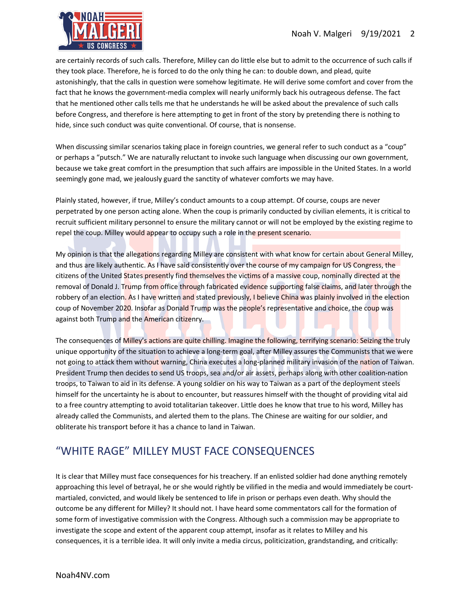

are certainly records of such calls. Therefore, Milley can do little else but to admit to the occurrence of such calls if they took place. Therefore, he is forced to do the only thing he can: to double down, and plead, quite astonishingly, that the calls in question were somehow legitimate. He will derive some comfort and cover from the fact that he knows the government-media complex will nearly uniformly back his outrageous defense. The fact that he mentioned other calls tells me that he understands he will be asked about the prevalence of such calls before Congress, and therefore is here attempting to get in front of the story by pretending there is nothing to hide, since such conduct was quite conventional. Of course, that is nonsense.

When discussing similar scenarios taking place in foreign countries, we general refer to such conduct as a "coup" or perhaps a "putsch." We are naturally reluctant to invoke such language when discussing our own government, because we take great comfort in the presumption that such affairs are impossible in the United States. In a world seemingly gone mad, we jealously guard the sanctity of whatever comforts we may have.

Plainly stated, however, if true, Milley's conduct amounts to a coup attempt. Of course, coups are never perpetrated by one person acting alone. When the coup is primarily conducted by civilian elements, it is critical to recruit sufficient military personnel to ensure the military cannot or will not be employed by the existing regime to repel the coup. Milley would appear to occupy such a role in the present scenario.

My opinion is that the allegations regarding Milley are consistent with what know for certain about General Milley, and thus are likely authentic. As I have said consistently over the course of my campaign for US Congress, the citizens of the United States presently find themselves the victims of a massive coup, nominally directed at the removal of Donald J. Trump from office through fabricated evidence supporting false claims, and later through the robbery of an election. As I have written and stated previously, I believe China was plainly involved in the election coup of November 2020. Insofar as Donald Trump was the people's representative and choice, the coup was against both Trump and the American citizenry.

The consequences of Milley's actions are quite chilling. Imagine the following, terrifying scenario: Seizing the truly unique opportunity of the situation to achieve a long-term goal, after Milley assures the Communists that we were not going to attack them without warning, China executes a long-planned military invasion of the nation of Taiwan. President Trump then decides to send US troops, sea and/or air assets, perhaps along with other coalition-nation troops, to Taiwan to aid in its defense. A young soldier on his way to Taiwan as a part of the deployment steels himself for the uncertainty he is about to encounter, but reassures himself with the thought of providing vital aid to a free country attempting to avoid totalitarian takeover. Little does he know that true to his word, Milley has already called the Communists, and alerted them to the plans. The Chinese are waiting for our soldier, and obliterate his transport before it has a chance to land in Taiwan.

## "WHITE RAGE" MILLEY MUST FACE CONSEQUENCES

It is clear that Milley must face consequences for his treachery. If an enlisted soldier had done anything remotely approaching this level of betrayal, he or she would rightly be vilified in the media and would immediately be courtmartialed, convicted, and would likely be sentenced to life in prison or perhaps even death. Why should the outcome be any different for Milley? It should not. I have heard some commentators call for the formation of some form of investigative commission with the Congress. Although such a commission may be appropriate to investigate the scope and extent of the apparent coup attempt, insofar as it relates to Milley and his consequences, it is a terrible idea. It will only invite a media circus, politicization, grandstanding, and critically: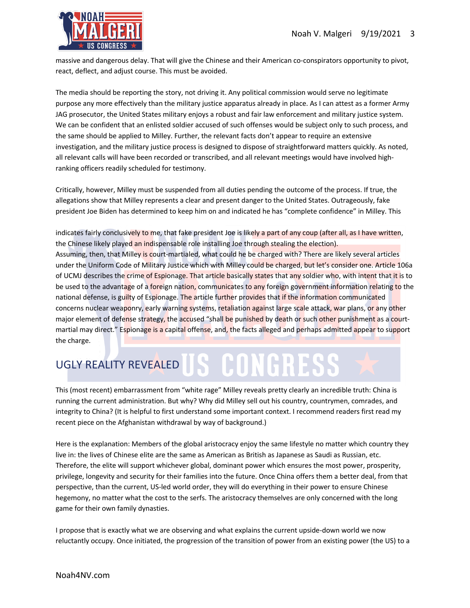

massive and dangerous delay. That will give the Chinese and their American co-conspirators opportunity to pivot, react, deflect, and adjust course. This must be avoided.

The media should be reporting the story, not driving it. Any political commission would serve no legitimate purpose any more effectively than the military justice apparatus already in place. As I can attest as a former Army JAG prosecutor, the United States military enjoys a robust and fair law enforcement and military justice system. We can be confident that an enlisted soldier accused of such offenses would be subject only to such process, and the same should be applied to Milley. Further, the relevant facts don't appear to require an extensive investigation, and the military justice process is designed to dispose of straightforward matters quickly. As noted, all relevant calls will have been recorded or transcribed, and all relevant meetings would have involved highranking officers readily scheduled for testimony.

Critically, however, Milley must be suspended from all duties pending the outcome of the process. If true, the allegations show that Milley represents a clear and present danger to the United States. Outrageously, fake president Joe Biden has determined to keep him on and indicated he has "complete confidence" in Milley. This

indicates fairly conclusively to me, that fake president Joe is likely a part of any coup (after all, as I have written, the Chinese likely played an indispensable role installing Joe through stealing the election). Assuming, then, that Milley is court-martialed, what could he be charged with? There are likely several articles under the Uniform Code of Military Justice which with Milley could be charged, but let's consider one. Article 106a of UCMJ describes the crime of Espionage. That article basically states that any soldier who, with intent that it is to be used to the advantage of a foreign nation, communicates to any foreign government information relating to the national defense, is guilty of Espionage. The article further provides that if the information communicated concerns nuclear weaponry, early warning systems, retaliation against large scale attack, war plans, or any other major element of defense strategy, the accused "shall be punished by death or such other punishment as a courtmartial may direct." Espionage is a capital offense, and, the facts alleged and perhaps admitted appear to support the charge.

## UGLY REALITY REVEALED US CONCHR

This (most recent) embarrassment from "white rage" Milley reveals pretty clearly an incredible truth: China is running the current administration. But why? Why did Milley sell out his country, countrymen, comrades, and integrity to China? (It is helpful to first understand some important context. I recommend readers first read my recent piece on the Afghanistan withdrawal by way of background.)

Here is the explanation: Members of the global aristocracy enjoy the same lifestyle no matter which country they live in: the lives of Chinese elite are the same as American as British as Japanese as Saudi as Russian, etc. Therefore, the elite will support whichever global, dominant power which ensures the most power, prosperity, privilege, longevity and security for their families into the future. Once China offers them a better deal, from that perspective, than the current, US-led world order, they will do everything in their power to ensure Chinese hegemony, no matter what the cost to the serfs. The aristocracy themselves are only concerned with the long game for their own family dynasties.

I propose that is exactly what we are observing and what explains the current upside-down world we now reluctantly occupy. Once initiated, the progression of the transition of power from an existing power (the US) to a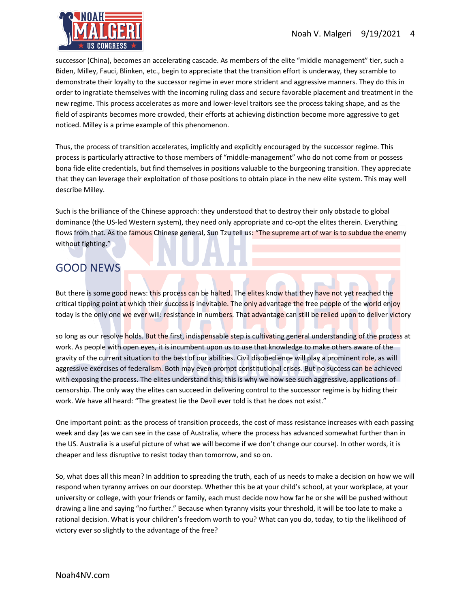

successor (China), becomes an accelerating cascade. As members of the elite "middle management" tier, such a Biden, Milley, Fauci, Blinken, etc., begin to appreciate that the transition effort is underway, they scramble to demonstrate their loyalty to the successor regime in ever more strident and aggressive manners. They do this in order to ingratiate themselves with the incoming ruling class and secure favorable placement and treatment in the new regime. This process accelerates as more and lower-level traitors see the process taking shape, and as the field of aspirants becomes more crowded, their efforts at achieving distinction become more aggressive to get noticed. Milley is a prime example of this phenomenon.

Thus, the process of transition accelerates, implicitly and explicitly encouraged by the successor regime. This process is particularly attractive to those members of "middle-management" who do not come from or possess bona fide elite credentials, but find themselves in positions valuable to the burgeoning transition. They appreciate that they can leverage their exploitation of those positions to obtain place in the new elite system. This may well describe Milley.

Such is the brilliance of the Chinese approach: they understood that to destroy their only obstacle to global dominance (the US-led Western system), they need only appropriate and co-opt the elites therein. Everything flows from that. As the famous Chinese general, Sun Tzu tell us: "The supreme art of war is to subdue the enemy without fighting."

## GOOD NEWS

But there is some good news: this process can be halted. The elites know that they have not yet reached the critical tipping point at which their success is inevitable. The only advantage the free people of the world enjoy today is the only one we ever will: resistance in numbers. That advantage can still be relied upon to deliver victory

so long as our resolve holds. But the first, indispensable step is cultivating general understanding of the process at work. As people with open eyes, it is incumbent upon us to use that knowledge to make others aware of the gravity of the current situation to the best of our abilities. Civil disobedience will play a prominent role, as will aggressive exercises of federalism. Both may even prompt constitutional crises. But no success can be achieved with exposing the process. The elites understand this; this is why we now see such aggressive, applications of censorship. The only way the elites can succeed in delivering control to the successor regime is by hiding their work. We have all heard: "The greatest lie the Devil ever told is that he does not exist."

One important point: as the process of transition proceeds, the cost of mass resistance increases with each passing week and day (as we can see in the case of Australia, where the process has advanced somewhat further than in the US. Australia is a useful picture of what we will become if we don't change our course). In other words, it is cheaper and less disruptive to resist today than tomorrow, and so on.

So, what does all this mean? In addition to spreading the truth, each of us needs to make a decision on how we will respond when tyranny arrives on our doorstep. Whether this be at your child's school, at your workplace, at your university or college, with your friends or family, each must decide now how far he or she will be pushed without drawing a line and saying "no further." Because when tyranny visits your threshold, it will be too late to make a rational decision. What is your children's freedom worth to you? What can you do, today, to tip the likelihood of victory ever so slightly to the advantage of the free?